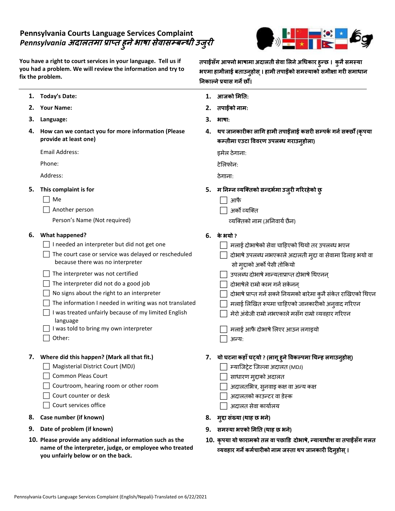## **Pennsylvania Courts Language Services Complaint** *Pennsylvania* **अदालतमा प्राप्त ह ु नेभाषा सेवासम्बन्धी उज ुरी**

**You have a right to court services in your language. Tell us if you had a problem. We will review the information and try to fix the problem.**



**तपाईंसँग आफ्नो भाषामा अदालती सेवा ललनेअधधकार हुन्छ । कुनैसमस्या भएमा हामीलाई बताउनुहोस ्। हामी तपाईंको समस्याको समीक्षा गरी समाधान**

| .ne propiem. |                                                                                                                                                                                                                                                                                                                                                                                                                                                                                | निकाल्ने प्रयास गर्ने छौं। |                                                                                                                                                                                                                                                                                                                                                                                                                                                                       |
|--------------|--------------------------------------------------------------------------------------------------------------------------------------------------------------------------------------------------------------------------------------------------------------------------------------------------------------------------------------------------------------------------------------------------------------------------------------------------------------------------------|----------------------------|-----------------------------------------------------------------------------------------------------------------------------------------------------------------------------------------------------------------------------------------------------------------------------------------------------------------------------------------------------------------------------------------------------------------------------------------------------------------------|
|              | 1. Today's Date:                                                                                                                                                                                                                                                                                                                                                                                                                                                               | 1.                         | आजको मिति:                                                                                                                                                                                                                                                                                                                                                                                                                                                            |
|              | 2. Your Name:                                                                                                                                                                                                                                                                                                                                                                                                                                                                  | 2.                         | तपाईंको नाम:                                                                                                                                                                                                                                                                                                                                                                                                                                                          |
| 3.           | Language:                                                                                                                                                                                                                                                                                                                                                                                                                                                                      | 3.                         | भाषा:                                                                                                                                                                                                                                                                                                                                                                                                                                                                 |
| 4.           | How can we contact you for more information (Please<br>provide at least one)                                                                                                                                                                                                                                                                                                                                                                                                   | 4.                         | थप जानकारीका लागि हामी तपाईलाई कसरी सम्पर्क गर्न सक्छौँ (कृपया<br>कम्तीमा एउटा विवरण उपलब्ध गराउन्होला)                                                                                                                                                                                                                                                                                                                                                               |
|              | Email Address:                                                                                                                                                                                                                                                                                                                                                                                                                                                                 |                            | इमेल ठेगाना:                                                                                                                                                                                                                                                                                                                                                                                                                                                          |
|              | Phone:                                                                                                                                                                                                                                                                                                                                                                                                                                                                         |                            | टेलिफोन:                                                                                                                                                                                                                                                                                                                                                                                                                                                              |
|              | Address:                                                                                                                                                                                                                                                                                                                                                                                                                                                                       |                            | ठेगानाः                                                                                                                                                                                                                                                                                                                                                                                                                                                               |
| 5.           | This complaint is for<br>Me<br>Another person<br>Person's Name (Not required)                                                                                                                                                                                                                                                                                                                                                                                                  | 5.                         | म निम्न व्यक्तिको सन्दर्भमा उजुरी गरिरहेको छु<br>आफै<br>अर्को व्यक्ति<br>व्यक्तिको नाम (अनिवार्य छैन)                                                                                                                                                                                                                                                                                                                                                                 |
| 6.           | <b>What happened?</b><br>I needed an interpreter but did not get one<br>The court case or service was delayed or rescheduled<br>because there was no interpreter<br>The interpreter was not certified<br>The interpreter did not do a good job<br>No signs about the right to an interpreter<br>The information I needed in writing was not translated<br>I was treated unfairly because of my limited English<br>language<br>I was told to bring my own interpreter<br>Other: | 6.                         | के भयो ?<br>मलाई दोभाषेको सेवा चाहिएको थियो तर उपलब्ध भएन<br>दोभाषे उपलब्ध नभएकाले अदालती मुद्दा वा सेवामा ढिलाइ भयो वा<br>सो मुद्दाको अर्को पेसी तोकियो<br>उपलब्ध दोभाषे मान्यताप्राप्त दोभाषे थिएनन्<br>दोभाषेले राम्रो काम गर्न सकेनन्<br>दोभाषे प्राप्त गर्न सक्ने नियमको बारेमा कुनै संकेत राखिएको थिएन<br>मलाई लिखित रूपमा चाहिएको जानकारीको अनुवाद गरिएन<br>मेरो अंग्रेजी राम्रो नभएकाले मसँग राम्रो व्यवहार गरिएन<br>मलाई आफै दोभाषे लिएर आउन लगाइयो<br>अन्य: |
|              | 7. Where did this happen? (Mark all that fit.)<br>Magisterial District Court (MDJ)<br><b>Common Pleas Court</b><br>Courtroom, hearing room or other room<br>Court counter or desk<br>Court services office                                                                                                                                                                                                                                                                     |                            | 7.    यो घटना कहाँ घट्यो ? (लागू हुने विकल्पमा चिन्ह लगाउनुहोस्)<br>□ म्याजिट्रेट जिल्ला अदालत (MDJ)<br>साधारण मुद्दाको अदालत<br>अदालतभित्र, सुनवाइ कक्ष वा अन्य कक्ष<br>अदालतको काउन्टर वा डेस्क<br>अदालत सेवा कार्यालय                                                                                                                                                                                                                                              |
| 8.           | Case number (if known)                                                                                                                                                                                                                                                                                                                                                                                                                                                         | 8.                         | मुद्दा संख्या (थाह छ भने)                                                                                                                                                                                                                                                                                                                                                                                                                                             |
|              | 9. Date of problem (if known)                                                                                                                                                                                                                                                                                                                                                                                                                                                  | 9.                         | समस्या भएको मिति (थाह छ भने)                                                                                                                                                                                                                                                                                                                                                                                                                                          |
|              | 10. Please provide any additional information such as the<br>name of the interpreter, judge, or employee who treated                                                                                                                                                                                                                                                                                                                                                           |                            | 10. कृपया यो फारामको तल वा पछाडि दोभाषे, न्यायाधीश वा तपाईसँग गलत<br>व्यवहार गर्ने कर्मचारीको नाम जस्ता थप जानकारी दिन्होस् ।                                                                                                                                                                                                                                                                                                                                         |

**you unfairly below or on the back.**